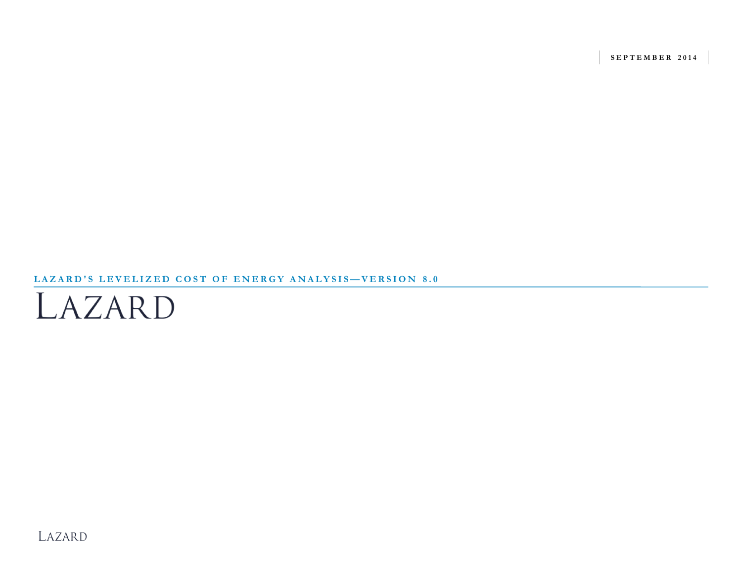#### LAZARD

# LAZARD

LAZARD'S LEVELIZED COST OF ENERGY ANALYSIS-VERSION 8.0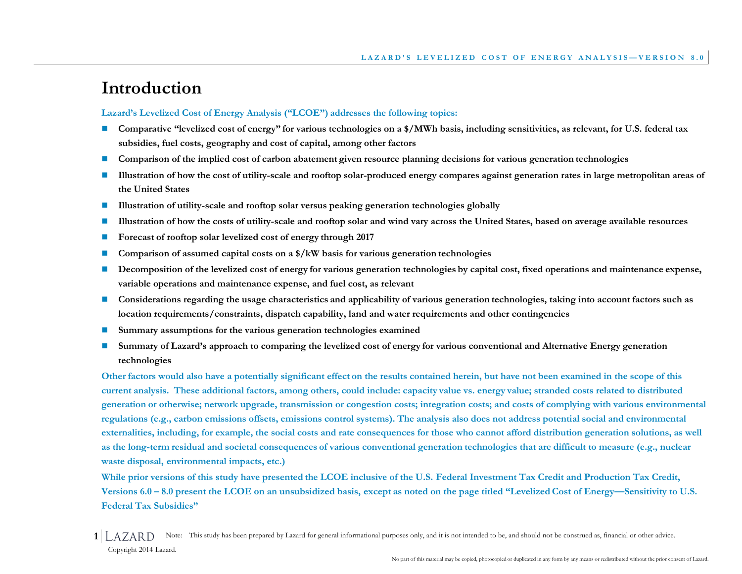#### **Introduction**

#### **Lazard's Levelized Cost of Energy Analysis ("LCOE") addresses the following topics:**

- **Comparative "levelized cost of energy" for various technologies on a \$/MWh basis, including sensitivities, as relevant, for U.S. federal tax subsidies, fuel costs, geography and cost of capital, among other factors**
- **Comparison of the implied cost of carbon abatement given resource planning decisions for various generation technologies**
- **Illustration of how the cost of utility-scale and rooftop solar-produced energy compares against generation rates in large metropolitan areas of the United States**
- **Illustration of utility-scale and rooftop solar versus peaking generation technologies globally**
- **Illustration of how the costs of utility-scale and rooftop solar and wind vary across the United States, based on average available resources**
- Forecast of rooftop solar levelized cost of energy through 2017
- **Comparison of assumed capital costs on a \$/kW basis for various generation technologies**
- **Decomposition of the levelized cost of energy for various generation technologies by capital cost, fixed operations and maintenance expense, variable operations and maintenance expense, and fuel cost, as relevant**
- **Considerations regarding the usage characteristics and applicability of various generation technologies, taking into account factors such as location requirements/constraints, dispatch capability, land and water requirements and other contingencies**
- **Summary assumptions for the various generation technologies examined**
- **Summary of Lazard's approach to comparing the levelized cost of energy for various conventional and Alternative Energy generation technologies**

**Other factors would also have a potentially significant effect on the results contained herein, but have not been examined in the scope of this current analysis. These additional factors, among others, could include: capacity value vs. energy value; stranded costs related to distributed generation or otherwise; network upgrade, transmission or congestion costs; integration costs; and costs of complying with various environmental regulations (e.g., carbon emissions offsets, emissions control systems). The analysis also does not address potential social and environmental externalities, including, for example, the social costs and rate consequences for those who cannot afford distribution generation solutions, as well as the long-term residual and societal consequences of various conventional generation technologies that are difficult to measure (e.g., nuclear waste disposal, environmental impacts, etc.)**

**While prior versions of this study have presented the LCOE inclusive of the U.S. Federal Investment Tax Credit and Production Tax Credit, Versions 6.0 – 8.0 present the LCOE on an unsubsidized basis, except as noted on the page titled "Levelized Cost of Energy—Sensitivity to U.S. Federal Tax Subsidies"**

Copyright 2014 Lazard. 1 LAZARD Note: This study has been prepared by Lazard for general informational purposes only, and it is not intended to be, and should not be construed as, financial or other advice.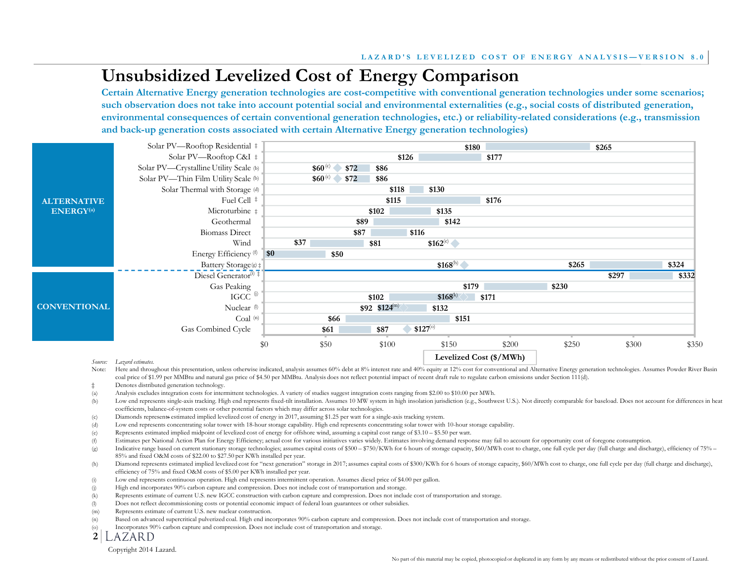## **Unsubsidized Levelized Cost of Energy Comparison**

**Certain Alternative Energy generation technologies are cost-competitive with conventional generation technologies under some scenarios; such observation does not take into account potential social and environmental externalities (e.g., social costs of distributed generation, environmental consequences of certain conventional generation technologies, etc.) or reliability-related considerations (e.g., transmission and back-up generation costs associated with certain Alternative Energy generation technologies)**

|                              | Solar PV-Rooftop Residential ‡                                      |     |                     |                            |                      | \$180                   |       | \$265 |       |
|------------------------------|---------------------------------------------------------------------|-----|---------------------|----------------------------|----------------------|-------------------------|-------|-------|-------|
|                              | Solar PV—Rooftop C&I ‡                                              |     |                     |                            | \$126                | \$177                   |       |       |       |
|                              | Solar PV-Crystalline Utility Scale (b)                              |     | $$60^{(c)}$<br>\$72 | \$86                       |                      |                         |       |       |       |
|                              | Solar PV-Thin Film Utility Scale (b)                                |     | $$60^{(c)}$<br>\$72 | \$86                       |                      |                         |       |       |       |
|                              | Solar Thermal with Storage (d)                                      |     |                     | \$118                      | \$130                |                         |       |       |       |
| <b>ALTERNATIVE</b>           | Fuel Cell ‡                                                         |     |                     | \$115                      |                      | \$176                   |       |       |       |
| <b>ENERGY</b> <sup>(a)</sup> | Microturbine ‡                                                      |     |                     | \$102                      | \$135                |                         |       |       |       |
|                              | Geothermal                                                          |     |                     | \$89                       | \$142                |                         |       |       |       |
|                              | <b>Biomass Direct</b>                                               |     |                     | \$87                       | \$116                |                         |       |       |       |
|                              | Wind                                                                |     | \$37                | \$81                       | \$162 <sup>(c)</sup> |                         |       |       |       |
|                              | Energy Efficiency <sup>(f)</sup> <b>\$0</b>                         |     | \$50                |                            |                      |                         |       |       |       |
|                              | Battery Storage®‡                                                   |     |                     |                            | $$168^{(h)}$         |                         | \$265 |       | \$324 |
|                              | Diesel Generator <sup>(i)</sup> $\ddagger$                          |     |                     |                            |                      |                         |       | \$297 | \$332 |
|                              | Gas Peaking                                                         |     |                     |                            | \$179                |                         | \$230 |       |       |
|                              | IGCC $\overset{\text{\normalsize(1)}}{0}$                           |     |                     | \$102                      | $$168^{(k)}$         | \$171                   |       |       |       |
| <b>CONVENTIONAL</b>          | Nuclear <sup>(1)</sup>                                              |     |                     | $$92$ \$124 <sup>(m)</sup> | \$132                |                         |       |       |       |
|                              | Coal $(n)$                                                          |     | \$66                |                            | \$151                |                         |       |       |       |
|                              | Gas Combined Cycle                                                  |     | \$61                | \$87                       | $$127^{(0)}$         |                         |       |       |       |
|                              |                                                                     | \$0 | \$50                | \$100                      | \$150                | \$200                   | \$250 | \$300 | \$350 |
|                              | $\mathcal{C}$ and $\mathcal{T}$ and $\mathcal{T}$ and $\mathcal{T}$ |     |                     |                            |                      | Levelized Cost (\$/MWh) |       |       |       |

*Source: Lazard estimates.*

Note: Here and throughout this presentation, unless otherwise indicated, analysis assumes 60% debt at 8% interest rate and 40% equity at 12% cost for conventional and Alternative Energy generation technologies. Assumes Pow coal price of \$1.99 per MMBtu and natural gas price of \$4.50 per MMBtu. Analysis does not reflect potential impact of recent draft rule to regulate carbon emissions under Section 111(d).

- ‡ Denotes distributed generation technology.
- (a) Analysis excludes integration costs for intermittent technologies. A variety of studies suggest integration costs ranging from \$2.00 to \$10.00 per MWh.
- (b) Low end represents single-axis tracking. High end represents fixed-tilt installation. Assumes 10 MW system in high insolation jurisdiction (e.g., Southwest U.S.). Not directly comparable for baseload. Does not account coefficients, balance-of-system costs or other potential factors which may differ across solar technologies.
- (c) Diamonds represents estimated implied levelized cost of energy in 2017, assuming \$1.25 per watt for a single-axis tracking system.
- (d) Low end represents concentrating solar tower with 18-hour storage capability. High end represents concentrating solar tower with 10-hour storage capability.
- (e) Represents estimated implied midpoint of levelized cost of energy for offshore wind, assuming a capital cost range of \$3.10 \$5.50 per watt.
- (f) Estimates per National Action Plan for Energy Efficiency; actual cost for various initiatives varies widely. Estimates involving demand response may fail to account for opportunity cost of foregone consumption.
- (g) Indicative range based on current stationary storage technologies; assumes capital costs of \$500 \$750/KWh for 6 hours of storage capacity, \$60/MWh cost to charge, one full cycle per day (full charge and discharge), e 85% and fixed O&M costs of \$22.00 to \$27.50 per KWh installed per year.
- (h) Diamond represents estimated implied levelized cost for "next generation" storage in 2017; assumes capital costs of \$300/KWh for 6 hours of storage capacity, \$60/MWh cost to charge, one full cycle per day (full charge efficiency of 75% and fixed O&M costs of \$5.00 per KWh installed per year.
- (i) Low end represents continuous operation. High end represents intermittent operation. Assumes diesel price of \$4.00 per gallon.
- (j) High end incorporates 90% carbon capture and compression. Does not include cost of transportation and storage.
- (k) Represents estimate of current U.S. new IGCC construction with carbon capture and compression. Does not include cost of transportation and storage.
- (l) Does not reflect decommissioning costs or potential economic impact of federal loan guarantees or other subsidies.
- (m) Represents estimate of current U.S. new nuclear construction.
- (n) Based on advanced supercritical pulverized coal. High end incorporates 90% carbon capture and compression. Does not include cost of transportation and storage.
- (o) Incorporates 90% carbon capture and compression. Does not include cost of transportation and storage.

**2** LAZARD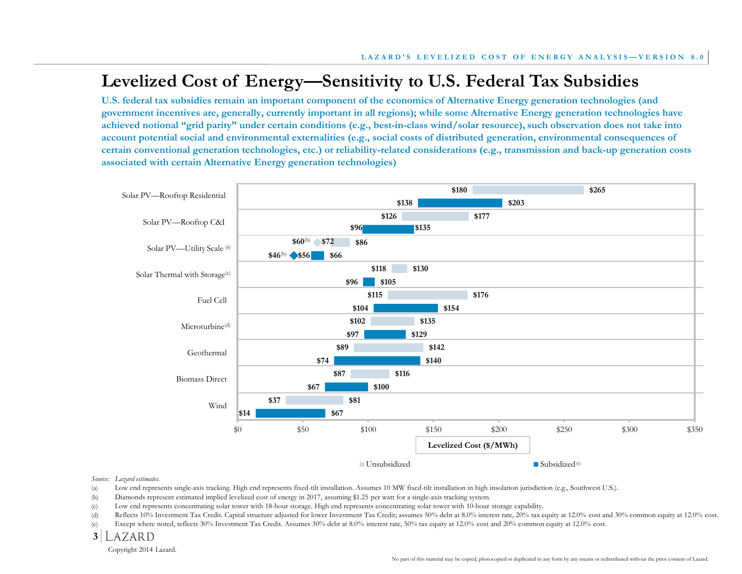# **Levelized Cost of Energy—Sensitivity to U.S. Federal Tax Subsidies**

**U.S. federal tax subsidies remain an important component of the economics of Alternative Energy generation technologies (and government incentives are, generally, currently important in all regions); while some Alternative Energy generation technologies have achieved notional "grid parity" under certain conditions (e.g., best-in-class wind/solar resource), such observation does not take into account potential social and environmental externalities (e.g., social costs of distributed generation, environmental consequences of certain conventional generation technologies, etc.) or reliability-related considerations (e.g., transmission and back-up generation costs associated with certain Alternative Energy generation technologies)**



*Source: Lazard estimates.*

(a) Low end represents single-axis tracking. High end represents fixed-tilt installation. Assumes 10 MW fixed-tilt installation in high insolation jurisdiction (e.g., Southwest U.S.).

(b) Diamonds represent estimated implied levelized cost of energy in 2017, assuming \$1.25 per watt for a single-axis tracking system.

(c) Low end represents concentrating solar tower with 18-hour storage. High end represents concentrating solar tower with 10-hour storage capability.

(d) Reflects 10% Investment Tax Credit. Capital structure adjusted for lower Investment Tax Credit; assumes 50% debt at 8.0% interest rate, 20% tax equity at 12.0% cost and 30% common equity at 12.0% cost.

(e) Except where noted, reflects 30% Investment Tax Credit. Assumes 30% debt at 8.0% interest rate, 50% tax equity at 12.0% cost and 20% common equity at 12.0% cost.

**3** LAZARD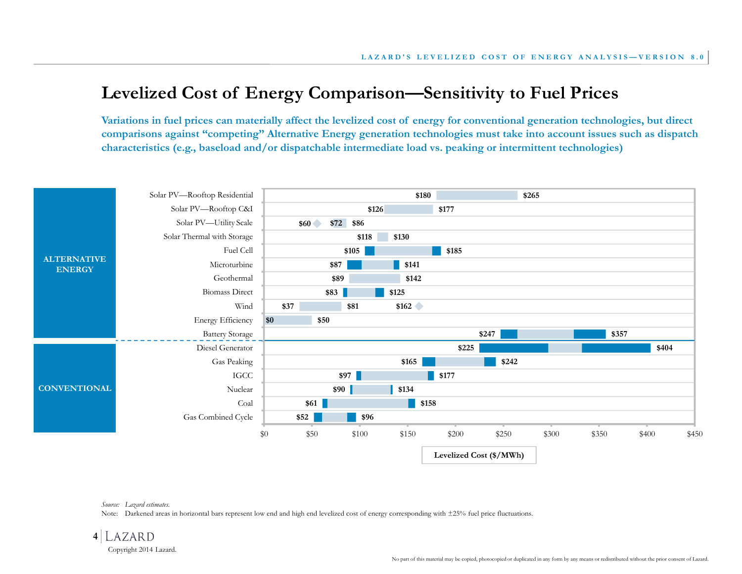### **Levelized Cost of Energy Comparison—Sensitivity to Fuel Prices**

**Variations in fuel prices can materially affect the levelized cost of energy for conventional generation technologies, but direct comparisons against "competing" Alternative Energy generation technologies must take into account issues such as dispatch characteristics (e.g., baseload and/or dispatchable intermediate load vs. peaking or intermittent technologies)**



*Source: Lazard estimates.*

Note: Darkened areas in horizontal bars represent low end and high end levelized cost of energy corresponding with  $\pm 25\%$  fuel price fluctuations.

LAZARD **4**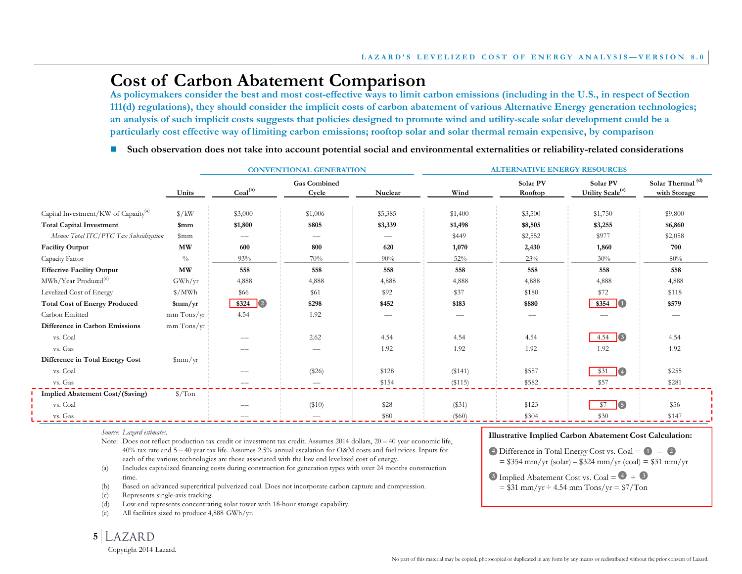### **Cost of Carbon Abatement Comparison**

**As policymakers consider the best and most cost-effective ways to limit carbon emissions (including in the U.S., in respect of Section 111(d) regulations), they should consider the implicit costs of carbon abatement of various Alternative Energy generation technologies; an analysis of such implicit costs suggests that policies designed to promote wind and utility-scale solar development could be a particularly cost effective way of limiting carbon emissions; rooftop solar and solar thermal remain expensive, by comparison**

**Such observation does not take into account potential social and environmental externalities or reliability-related considerations**

|                                                  |                                    | <b>CONVENTIONAL GENERATION</b><br><b>ALTERNATIVE ENERGY RESOURCES</b> |                              |         |          |                     |                                          |                                              |  |  |
|--------------------------------------------------|------------------------------------|-----------------------------------------------------------------------|------------------------------|---------|----------|---------------------|------------------------------------------|----------------------------------------------|--|--|
|                                                  | Units                              | Coal <sup>(b)</sup>                                                   | <b>Gas Combined</b><br>Cycle | Nuclear | Wind     | Solar PV<br>Rooftop | Solar PV<br>Utility Scale <sup>(c)</sup> | Solar Thermal <sup>(d)</sup><br>with Storage |  |  |
| Capital Investment/KW of Capacity <sup>(a)</sup> | $\frac{\gamma}{2}$                 | \$3,000                                                               | \$1,006                      | \$5,385 | \$1,400  | \$3,500             | \$1,750                                  | \$9,800                                      |  |  |
| <b>Total Capital Investment</b>                  | \$mm                               | \$1,800                                                               | \$805                        | \$3,339 | \$1,498  | \$8,505             | \$3,255                                  | \$6,860                                      |  |  |
| Memo: Total ITC/PTC Tax Subsidization            | \$mm                               |                                                                       |                              |         | \$449    | \$2,552             | \$977                                    | \$2,058                                      |  |  |
| <b>Facility Output</b>                           | <b>MW</b>                          | 600                                                                   | 800                          | 620     | 1,070    | 2,430               | 1,860                                    | 700                                          |  |  |
| Capacity Factor                                  | $\frac{0}{0}$                      | 93%                                                                   | 70%                          | 90%     | 52%      | 23%                 | 30%                                      | 80%                                          |  |  |
| <b>Effective Facility Output</b>                 | <b>MW</b>                          | 558                                                                   | 558                          | 558     | 558      | 558                 | 558                                      | 558                                          |  |  |
| MWh/Year Produced <sup>(e)</sup>                 | GWh/yr                             | 4,888                                                                 | 4,888                        | 4,888   | 4,888    | 4,888               | 4,888                                    | 4,888                                        |  |  |
| Levelized Cost of Energy                         | $\frac{\gamma}{MWh}$               | \$66                                                                  | \$61                         | \$92    | \$37     | \$180               | \$72                                     | \$118                                        |  |  |
| <b>Total Cost of Energy Produced</b>             | $\frac{\text{Smm}}{\text{yr}}$     | $$324$ 2                                                              | \$298                        | \$452   | \$183    | \$880               | $$354$ 1                                 | \$579                                        |  |  |
| Carbon Emitted                                   | $mm$ Tons/ $yr$                    | 4.54                                                                  | 1.92                         |         |          |                     |                                          |                                              |  |  |
| Difference in Carbon Emissions                   | $mm$ Tons/yr                       |                                                                       |                              |         |          |                     |                                          |                                              |  |  |
| vs. Coal                                         |                                    |                                                                       | 2.62                         | 4.54    | 4.54     | 4.54                | $4.54$ 3                                 | 4.54                                         |  |  |
| vs. Gas                                          |                                    |                                                                       |                              | 1.92    | 1.92     | 1.92                | 1.92                                     | 1.92                                         |  |  |
| Difference in Total Energy Cost                  | $\frac{\mathrm{Smm}}{\mathrm{yr}}$ |                                                                       |                              |         |          |                     |                                          |                                              |  |  |
| vs. Coal                                         |                                    |                                                                       | $(\$26)$                     | \$128   | ( \$141) | \$557               | 14<br>\$31                               | \$255                                        |  |  |
| vs. Gas                                          |                                    |                                                                       |                              | \$154   | (\$115)  | \$582               | \$57                                     | \$281                                        |  |  |
| <b>Implied Abatement Cost/(Saving)</b>           | $\sqrt{$}$ Ton                     |                                                                       |                              |         |          |                     |                                          |                                              |  |  |
| vs. Coal                                         |                                    |                                                                       | \$10)                        | \$28    | (\$31)   | \$123               | $\overline{\mathsf{B}}$<br>\$7           | \$56                                         |  |  |
| vs. Gas                                          |                                    |                                                                       |                              | \$80    | $(\$60)$ | \$304               | \$30                                     | \$147                                        |  |  |

*Source: Lazard estimates.*

Note: Does not reflect production tax credit or investment tax credit. Assumes 2014 dollars, 20 – 40 year economic life, 40% tax rate and 5 – 40 year tax life. Assumes 2.5% annual escalation for O&M costs and fuel prices. Inputs for each of the various technologies are those associated with the low end levelized cost of energy.

- (a) Includes capitalized financing costs during construction for generation types with over 24 months construction time.
- (b) Based on advanced supercritical pulverized coal. Does not incorporate carbon capture and compression.
- (c) Represents single-axis tracking.
- (d) Low end represents concentrating solar tower with 18-hour storage capability.
- (e) All facilities sized to produce 4,888 GWh/yr.

**5**

Copyright 2014 Lazard.

#### **Illustrative Implied Carbon Abatement Cost Calculation:**

4 Difference in Total Energy Cost vs. Coal =  $\bullet$  -  $\bullet$  $= $354$  mm/yr (solar) – \$324 mm/yr (coal) = \$31 mm/yr

**5** Implied Abatement Cost vs. Coal =  $\bullet$   $\div$   $\bullet$ 

 $= $31 \text{ mm/yr} \div 4.54 \text{ mm}$  Tons/yr  $= $7/T$ on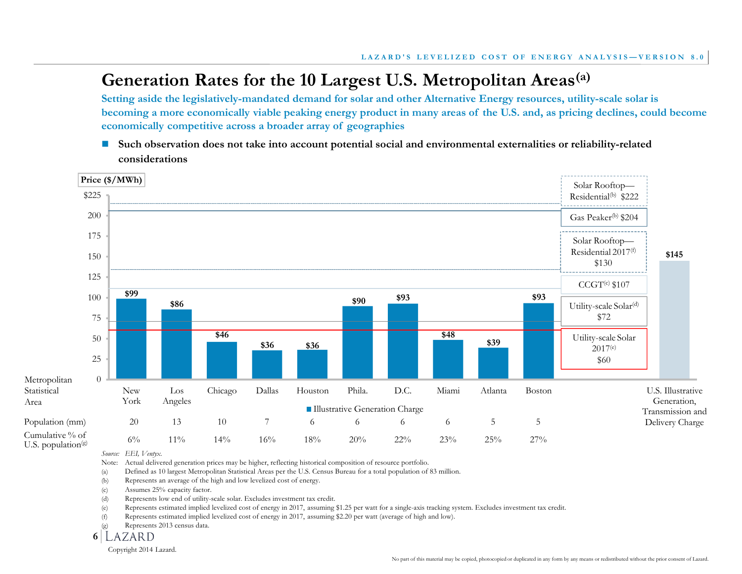# **Generation Rates for the 10 Largest U.S. Metropolitan Areas(a)**

**Setting aside the legislatively-mandated demand for solar and other Alternative Energy resources, utility-scale solar is becoming a more economically viable peaking energy product in many areas of the U.S. and, as pricing declines, could become economically competitive across a broader array of geographies**

■ Such observation does not take into account potential social and environmental externalities or reliability-related **considerations**



*Source: EEI, Ventyx.*

Note: Actual delivered generation prices may be higher, reflecting historical composition of resource portfolio.

(a) Defined as 10 largest Metropolitan Statistical Areas per the U.S. Census Bureau for a total population of 83 million.

(b) Represents an average of the high and low levelized cost of energy.

(c) Assumes 25% capacity factor.

(d) Represents low end of utility-scale solar. Excludes investment tax credit.

(e) Represents estimated implied levelized cost of energy in 2017, assuming \$1.25 per watt for a single-axis tracking system. Excludes investment tax credit.

(f) Represents estimated implied levelized cost of energy in 2017, assuming \$2.20 per watt (average of high and low).

(g) Represents 2013 census data.

**6**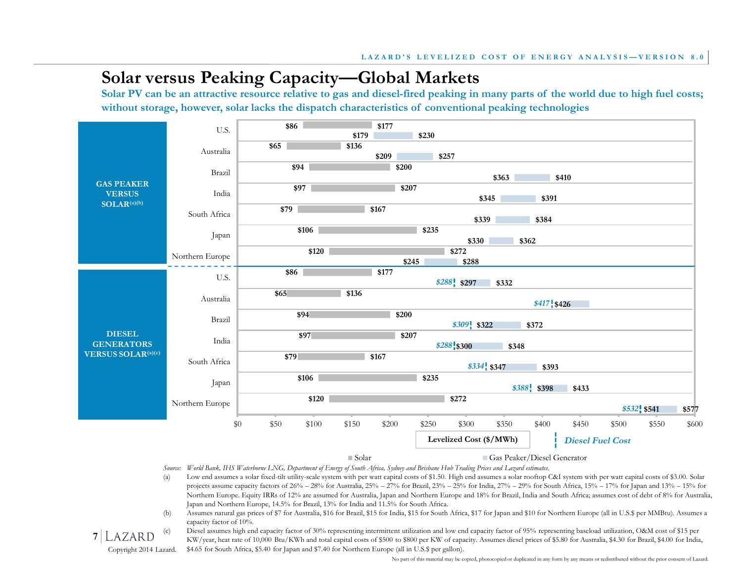# **Solar versus Peaking Capacity—Global Markets**

**Solar PV can be an attractive resource relative to gas and diesel-fired peaking in many parts of the world due to high fuel costs; without storage, however, solar lacks the dispatch characteristics of conventional peaking technologies**



Solar Gas Peaker/Diesel Generator

*Source: World Bank, IHS Waterborne LNG, Department of Energy of South Africa, Sydney and Brisbane Hub Trading Prices and Lazard estimates.*

**7**

(a) Low end assumes a solar fixed-tilt utility-scale system with per watt capital costs of \$1.50. High end assumes a solar rooftop C&I system with per watt capital costs of \$3.00. Solar projects assume capacity factors of 26% – 28% for Australia, 25% – 27% for Brazil, 23% – 25% for India, 27% – 29% for South Africa, 15% – 17% for Japan and 13% – 15% for Northern Europe. Equity IRRs of 12% are assumed for Australia, Japan and Northern Europe and 18% for Brazil, India and South Africa; assumes cost of debt of 8% for Australia, Japan and Northern Europe, 14.5% for Brazil, 13% for India and 11.5% for South Africa.

(b) Assumes natural gas prices of \$7 for Australia, \$16 for Brazil, \$15 for India, \$15 for South Africa, \$17 for Japan and \$10 for Northern Europe (all in U.S.\$ per MMBtu). Assumes a capacity factor of 10%.

Copyright 2014 Lazard. Diesel assumes high end capacity factor of 30% representing intermittent utilization and low end capacity factor of 95% representing baseload utilization, O&M cost of \$15 per KW/year, heat rate of 10,000 Btu/KWh and total capital costs of \$500 to \$800 per KW of capacity. Assumes diesel prices of \$5.80 for Australia, \$4.30 for Brazil, \$4.00 for India, \$4.65 for South Africa, \$5.40 for Japan and \$7.40 for Northern Europe (all in U.S.\$ per gallon).

No part of this material may be copied, photocopied or duplicated in any form by any means or redistributed without the prior consent of Lazard.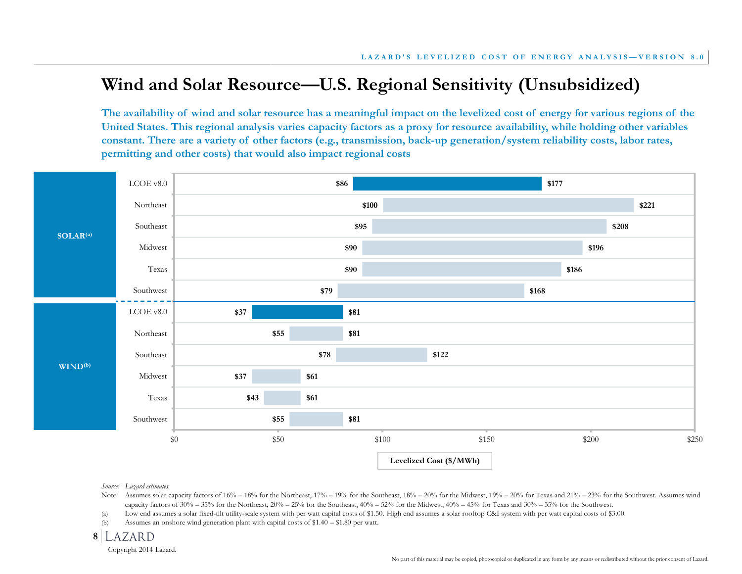# **Wind and Solar Resource—U.S. Regional Sensitivity (Unsubsidized)**

**The availability of wind and solar resource has a meaningful impact on the levelized cost of energy for various regions of the United States. This regional analysis varies capacity factors as a proxy for resource availability, while holding other variables constant. There are a variety of other factors (e.g., transmission, back-up generation/system reliability costs, labor rates, permitting and other costs) that would also impact regional costs**



#### *Source: Lazard estimates.*

- Note: Assumes solar capacity factors of 16% 18% for the Northeast, 17% 19% for the Southeast, 18% 20% for the Midwest, 19% 20% for Texas and 21% 23% for the Southwest. Assumes wind capacity factors of  $30\%$  –  $35\%$  for the Northeast,  $20\%$  –  $25\%$  for the Southeast,  $40\%$  –  $52\%$  for the Midwest,  $40\%$  –  $45\%$  for Texas and  $30\%$  –  $35\%$  for the Southwest.
- (a) Low end assumes a solar fixed-tilt utility-scale system with per watt capital costs of \$1.50. High end assumes a solar rooftop C&I system with per watt capital costs of \$3.00.
- (b) Assumes an onshore wind generation plant with capital costs of \$1.40 \$1.80 per watt.
- **8** LAZARD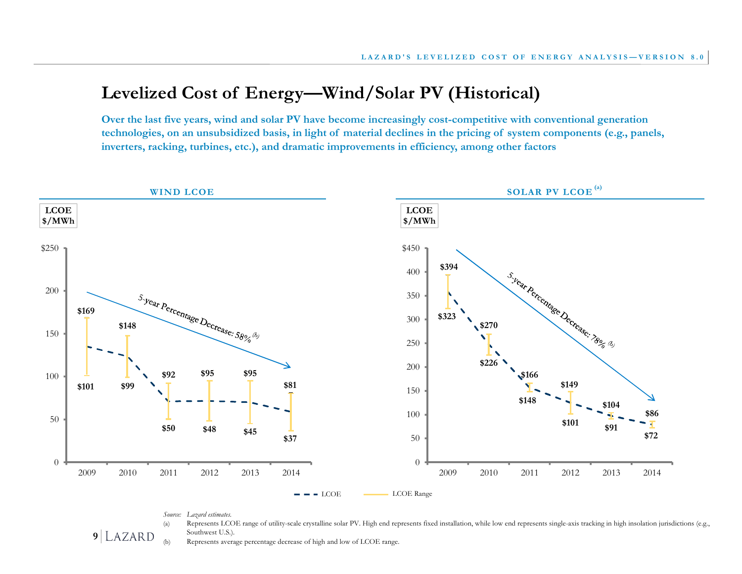### **Levelized Cost of Energy—Wind/Solar PV (Historical)**

**Over the last five years, wind and solar PV have become increasingly cost-competitive with conventional generation technologies, on an unsubsidized basis, in light of material declines in the pricing of system components (e.g., panels, inverters, racking, turbines, etc.), and dramatic improvements in efficiency, among other factors**



*Source: Lazard estimates.*

(a) Represents LCOE range of utility-scale crystalline solar PV. High end represents fixed installation, while low end represents single-axis tracking in high insolation jurisdictions (e.g., Southwest U.S.). **9**  $LAZARD$  Southwest U.S.).<br>**9**  $LAZARD$  Represents average percentage decrease of high and low of LCOE range.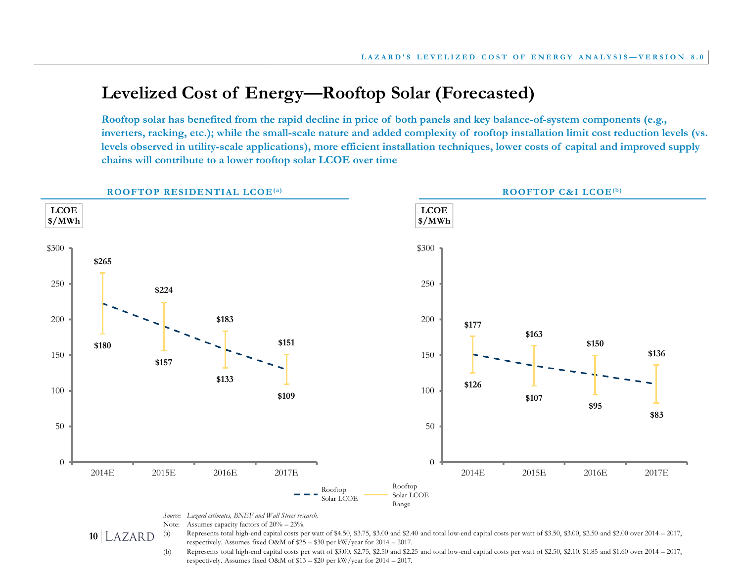# **Levelized Cost of Energy—Rooftop Solar (Forecasted)**

**Rooftop solar has benefited from the rapid decline in price of both panels and key balance-of-system components (e.g., inverters, racking, etc.); while the small-scale nature and added complexity of rooftop installation limit cost reduction levels (vs. levels observed in utility-scale applications), more efficient installation techniques, lower costs of capital and improved supply chains will contribute to a lower rooftop solar LCOE over time**



(b) Represents total high-end capital costs per watt of \$3.00, \$2.75, \$2.50 and \$2.25 and total low-end capital costs per watt of \$2.50, \$2.10, \$1.85 and \$1.60 over 2014 – 2017, respectively. Assumes fixed O&M of \$13 – \$20 per kW/year for 2014 – 2017.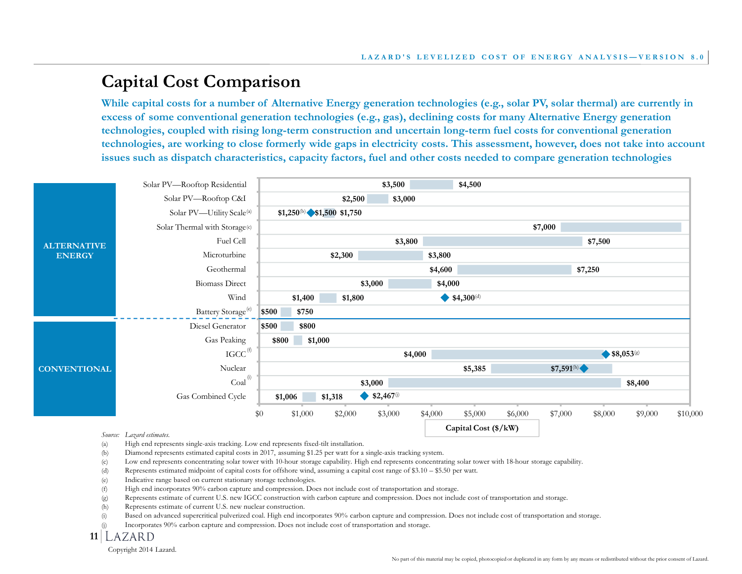# **Capital Cost Comparison**

**While capital costs for a number of Alternative Energy generation technologies (e.g., solar PV, solar thermal) are currently in excess of some conventional generation technologies (e.g., gas), declining costs for many Alternative Energy generation technologies, coupled with rising long-term construction and uncertain long-term fuel costs for conventional generation technologies, are working to close formerly wide gaps in electricity costs. This assessment, however, does not take into account issues such as dispatch characteristics, capacity factors, fuel and other costs needed to compare generation technologies**

|                     | Solar PV-Rooftop Residential          |                                               | \$3,500 | \$4,500                                |                    |                |                         |          |
|---------------------|---------------------------------------|-----------------------------------------------|---------|----------------------------------------|--------------------|----------------|-------------------------|----------|
|                     | Solar PV-Rooftop C&I                  | \$2,500                                       | \$3,000 |                                        |                    |                |                         |          |
|                     | Solar PV-Utility Scale <sup>(a)</sup> | $$1,250^{(b)}$ \$1,500 \$1,750                |         |                                        |                    |                |                         |          |
| <b>ALTERNATIVE</b>  | Solar Thermal with Storage(c)         |                                               |         |                                        | \$7,000            |                |                         |          |
|                     | Fuel Cell                             |                                               | \$3,800 |                                        |                    | \$7,500        |                         |          |
| <b>ENERGY</b>       | Microturbine                          | \$2,300                                       |         | \$3,800                                |                    |                |                         |          |
|                     | Geothermal                            |                                               |         | \$4,600                                |                    | \$7,250        |                         |          |
|                     | <b>Biomass Direct</b>                 | \$3,000                                       |         | \$4,000                                |                    |                |                         |          |
|                     | Wind                                  | \$1,400<br>\$1,800                            |         | $\blacklozenge$ \$4,300 <sup>(d)</sup> |                    |                |                         |          |
|                     | Battery Storage <sup>(e)</sup>        | \$500<br>\$750                                |         |                                        |                    |                |                         |          |
|                     | Diesel Generator                      | \$500<br>\$800                                |         |                                        |                    |                |                         |          |
|                     | Gas Peaking                           | \$800<br>\$1,000                              |         |                                        |                    |                |                         |          |
|                     | $IGCC^{(f)}$                          |                                               | \$4,000 |                                        |                    |                | $$8,053$ <sup>(g)</sup> |          |
| <b>CONVENTIONAL</b> | Nuclear                               |                                               |         | \$5,385                                |                    | $$7,591^{(h)}$ |                         |          |
|                     | $Coal^{(i)}$                          | \$3,000                                       |         |                                        |                    |                | \$8,400                 |          |
|                     | Gas Combined Cycle                    | $$2,467$ <sup>(i)</sup><br>\$1,318<br>\$1,006 |         |                                        |                    |                |                         |          |
|                     |                                       | \$0<br>\$2,000<br>\$1,000                     | \$3,000 | \$4,000<br>\$5,000                     | \$6,000<br>\$7,000 | \$8,000        | \$9,000                 | \$10,000 |
|                     | $\alpha$ $\alpha$ $\alpha$ $\alpha$   |                                               |         | Capital Cost (\$/kW)                   |                    |                |                         |          |

#### *Source: Lazard estimates.*

- (a) High end represents single-axis tracking. Low end represents fixed-tilt installation.
- (b) Diamond represents estimated capital costs in 2017, assuming \$1.25 per watt for a single-axis tracking system.
- (c) Low end represents concentrating solar tower with 10-hour storage capability. High end represents concentrating solar tower with 18-hour storage capability.
- (d) Represents estimated midpoint of capital costs for offshore wind, assuming a capital cost range of \$3.10 \$5.50 per watt.
- (e) Indicative range based on current stationary storage technologies.
- (f) High end incorporates 90% carbon capture and compression. Does not include cost of transportation and storage.
- (g) Represents estimate of current U.S. new IGCC construction with carbon capture and compression. Does not include cost of transportation and storage.
- (h) Represents estimate of current U.S. new nuclear construction.
- (i) Based on advanced supercritical pulverized coal. High end incorporates 90% carbon capture and compression. Does not include cost of transportation and storage.
- Incorporates 90% carbon capture and compression. Does not include cost of transportation and storage.

**11**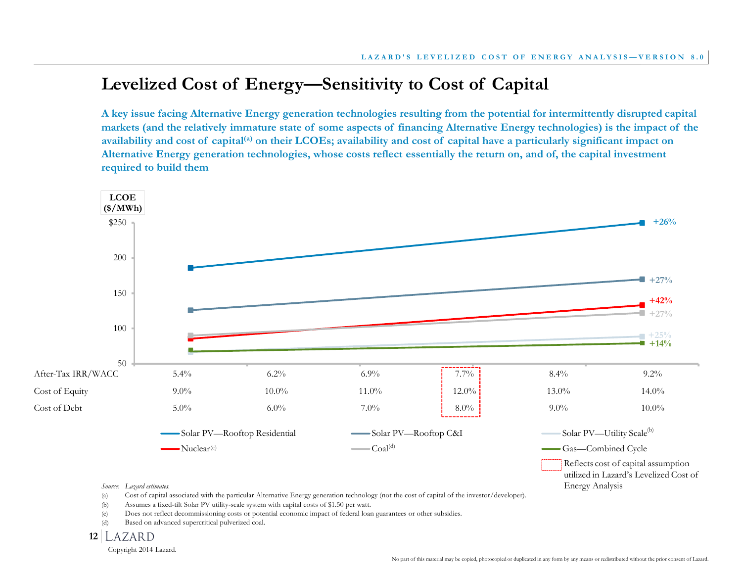## **Levelized Cost of Energy—Sensitivity to Cost of Capital**

**A key issue facing Alternative Energy generation technologies resulting from the potential for intermittently disrupted capital markets (and the relatively immature state of some aspects of financing Alternative Energy technologies) is the impact of the availability and cost of capital(a) on their LCOEs; availability and cost of capital have a particularly significant impact on Alternative Energy generation technologies, whose costs reflect essentially the return on, and of, the capital investment required to build them**



<sup>(</sup>b) Assumes a fixed-tilt Solar PV utility-scale system with capital costs of \$1.50 per watt.

(c) Does not reflect decommissioning costs or potential economic impact of federal loan guarantees or other subsidies.

(d) Based on advanced supercritical pulverized coal.

**12**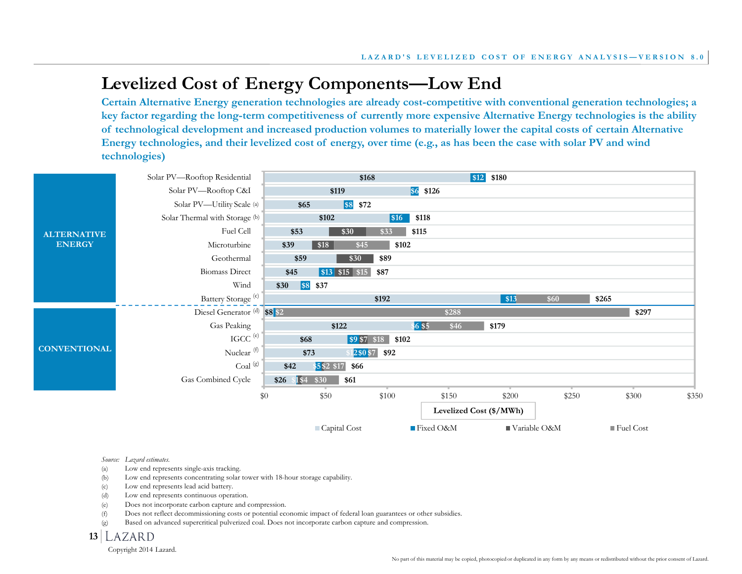# **Levelized Cost of Energy Components—Low End**

**Certain Alternative Energy generation technologies are already cost-competitive with conventional generation technologies; a key factor regarding the long-term competitiveness of currently more expensive Alternative Energy technologies is the ability of technological development and increased production volumes to materially lower the capital costs of certain Alternative Energy technologies, and their levelized cost of energy, over time (e.g., as has been the case with solar PV and wind technologies)**

|                     | Solar PV-Rooftop Residential   |              |                     | \$168                                            |            | \$12 \$180              |       |              |                          |       |
|---------------------|--------------------------------|--------------|---------------------|--------------------------------------------------|------------|-------------------------|-------|--------------|--------------------------|-------|
|                     | Solar PV-Rooftop C&I           |              | \$119               |                                                  | $$6$ \$126 |                         |       |              |                          |       |
|                     | Solar PV-Utility Scale (a)     | \$65         | \$8 \$72            |                                                  |            |                         |       |              |                          |       |
|                     | Solar Thermal with Storage (b) |              | \$102               | \$16                                             | \$118      |                         |       |              |                          |       |
| <b>ALTERNATIVE</b>  | Fuel Cell                      | \$53         | $\overline{$30}$    | \$33                                             | \$115      |                         |       |              |                          |       |
| <b>ENERGY</b>       | Microturbine                   | \$39         | $\overline{$18}$    | \$45                                             | \$102      |                         |       |              |                          |       |
|                     | Geothermal                     | \$59         | \$30                | \$89                                             |            |                         |       |              |                          |       |
|                     | <b>Biomass Direct</b>          | \$45         | \$13 \$15 \$15      | \$87                                             |            |                         |       |              |                          |       |
|                     | Wind                           | \$30         | \$8<br>\$37         |                                                  |            |                         |       |              |                          |       |
|                     | Battery Storage <sup>(c)</sup> |              |                     | \$192                                            |            |                         | \$13  | \$60         | \$265                    |       |
|                     | Diesel Generator (d) \$8 \$2   |              |                     |                                                  |            | \$288                   |       |              | \$297                    |       |
|                     | Gas Peaking                    |              | \$122               |                                                  | 65         | \$46                    | \$179 |              |                          |       |
|                     | IGCC $^{(e)}$                  |              | \$68                | $  $9 $7 \overline{\smash{\big)} } $18$<br>\$102 |            |                         |       |              |                          |       |
| <b>CONVENTIONAL</b> | Nuclear <sup>(f)</sup>         |              | \$73                | 12\$0\$7 \$92                                    |            |                         |       |              |                          |       |
|                     | Coal $($ g $)$                 | \$42         | \$5\$2 \$17<br>\$66 |                                                  |            |                         |       |              |                          |       |
|                     | Gas Combined Cycle             | \$26 $$1$34$ | \$30<br>\$61        |                                                  |            |                         |       |              |                          |       |
|                     |                                | \$0          | \$50                | \$100                                            |            | \$150                   | \$200 | \$250        | \$300                    | \$350 |
|                     |                                |              |                     |                                                  |            | Levelized Cost (\$/MWh) |       |              |                          |       |
|                     |                                |              | Capital Cost        |                                                  | Fixed O&M  |                         |       | Variable O&M | $\blacksquare$ Fuel Cost |       |

#### *Source: Lazard estimates.*

- (a) Low end represents single-axis tracking.
- (b) Low end represents concentrating solar tower with 18-hour storage capability.
- (c) Low end represents lead acid battery.
- (d) Low end represents continuous operation.
- (e) Does not incorporate carbon capture and compression.
- (f) Does not reflect decommissioning costs or potential economic impact of federal loan guarantees or other subsidies.
- (g) Based on advanced supercritical pulverized coal. Does not incorporate carbon capture and compression.

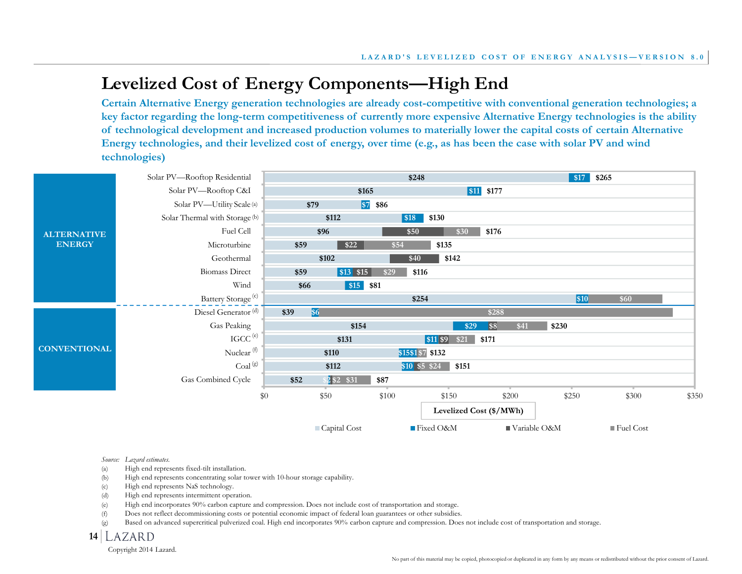# **Levelized Cost of Energy Components—High End**

**Certain Alternative Energy generation technologies are already cost-competitive with conventional generation technologies; a key factor regarding the long-term competitiveness of currently more expensive Alternative Energy technologies is the ability of technological development and increased production volumes to materially lower the capital costs of certain Alternative Energy technologies, and their levelized cost of energy, over time (e.g., as has been the case with solar PV and wind technologies)**



#### *Source: Lazard estimates.*

- (a) High end represents fixed-tilt installation.
- (b) High end represents concentrating solar tower with 10-hour storage capability.
- (c) High end represents NaS technology.
- (d) High end represents intermittent operation.
- (e) High end incorporates 90% carbon capture and compression. Does not include cost of transportation and storage.
- (f) Does not reflect decommissioning costs or potential economic impact of federal loan guarantees or other subsidies.
- (g) Based on advanced supercritical pulverized coal. High end incorporates 90% carbon capture and compression. Does not include cost of transportation and storage.

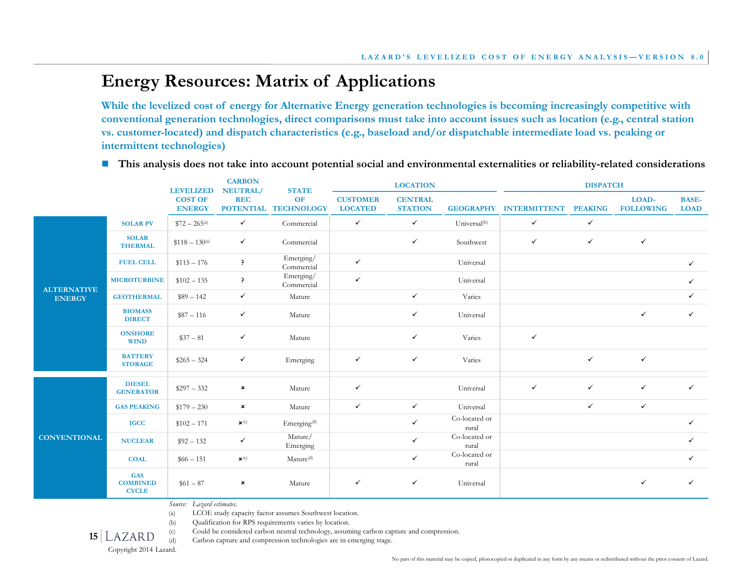# **Energy Resources: Matrix of Applications**

**While the levelized cost of energy for Alternative Energy generation technologies is becoming increasingly competitive with conventional generation technologies, direct comparisons must take into account issues such as location (e.g., central station vs. customer-located) and dispatch characteristics (e.g., baseload and/or dispatchable intermediate load vs. peaking or intermittent technologies)**

**This analysis does not take into account potential social and environmental externalities or reliability-related considerations**

|                     |                                               | <b>LEVELIZED</b>                | <b>CARBON</b><br>NEUTRAL/     | <b>STATE</b>                      | <b>LOCATION</b>                   |                                  |                          | <b>DISPATCH</b>     |                |                           |                             |
|---------------------|-----------------------------------------------|---------------------------------|-------------------------------|-----------------------------------|-----------------------------------|----------------------------------|--------------------------|---------------------|----------------|---------------------------|-----------------------------|
|                     |                                               | <b>COST OF</b><br><b>ENERGY</b> | <b>REC</b>                    | <b>OF</b><br>POTENTIAL TECHNOLOGY | <b>CUSTOMER</b><br><b>LOCATED</b> | <b>CENTRAL</b><br><b>STATION</b> | <b>GEOGRAPHY</b>         | <b>INTERMITTENT</b> | <b>PEAKING</b> | LOAD-<br><b>FOLLOWING</b> | <b>BASE-</b><br><b>LOAD</b> |
|                     | <b>SOLAR PV</b>                               | $$72-265^{(a)}$$                | $\checkmark$                  | Commercial                        | $\checkmark$                      | $\checkmark$                     | Universal <sup>(b)</sup> | $\checkmark$        | $\checkmark$   |                           |                             |
|                     | <b>SOLAR</b><br><b>THERMAL</b>                | $$118 - 130^{(a)}$              | $\checkmark$                  | Commercial                        |                                   | $\checkmark$                     | Southwest                | $\checkmark$        | $\checkmark$   | $\checkmark$              |                             |
|                     | <b>FUEL CELL</b>                              | $$115 - 176$                    | ?                             | Emerging/<br>Commercial           | $\checkmark$                      |                                  | Universal                |                     |                |                           | $\checkmark$                |
| <b>ALTERNATIVE</b>  | <b>MICROTURBINE</b>                           | $$102 - 135$                    | 3.                            | Emerging/<br>Commercial           | $\checkmark$                      |                                  | Universal                |                     |                |                           | $\checkmark$                |
| <b>ENERGY</b>       | <b>GEOTHERMAL</b>                             | $$89 - 142$                     | $\checkmark$                  | Mature                            |                                   | $\checkmark$                     | Varies                   |                     |                |                           | $\checkmark$                |
|                     | <b>BIOMASS</b><br><b>DIRECT</b>               | $$87 - 116$                     | $\checkmark$                  | Mature                            |                                   | $\checkmark$                     | Universal                |                     |                | ✓                         | $\checkmark$                |
|                     | <b>ONSHORE</b><br><b>WIND</b>                 | $$37 - 81$                      | $\checkmark$                  | Mature                            |                                   | $\checkmark$                     | Varies                   | $\checkmark$        |                |                           |                             |
|                     | <b>BATTERY</b><br><b>STORAGE</b>              | $$265 - 324$                    | $\checkmark$                  | Emerging                          | $\checkmark$                      | $\checkmark$                     | Varies                   |                     | $\checkmark$   | $\checkmark$              |                             |
|                     | <b>DIESEL</b><br><b>GENERATOR</b>             | $$297 - 332$                    | $\pmb{\times}$                | Mature                            | $\checkmark$                      |                                  | Universal                | $\checkmark$        | $\checkmark$   | $\checkmark$              | $\checkmark$                |
|                     | <b>GAS PEAKING</b>                            | $$179 - 230$                    | $\pmb{\times}$                | Mature                            | $\checkmark$                      | $\checkmark$                     | Universal                |                     | $\checkmark$   | $\checkmark$              |                             |
|                     | <b>IGCC</b>                                   | $$102 - 171$                    | $\pmb{\times}^{(\text{c})}$   | Emerging <sup>(d)</sup>           |                                   | $\checkmark$                     | Co-located or<br>rural   |                     |                |                           | $\checkmark$                |
| <b>CONVENTIONAL</b> | <b>NUCLEAR</b>                                | $$92 - 132$                     | $\checkmark$                  | Mature/<br>Emerging               |                                   | $\checkmark$                     | Co-located or<br>rural   |                     |                |                           | $\checkmark$                |
|                     | <b>COAL</b>                                   | $$66 - 151$                     | $\boldsymbol{\mathsf{x}}$ (c) | Mature <sup>(d)</sup>             |                                   | $\checkmark$                     | Co-located or<br>rural   |                     |                |                           | ✓                           |
|                     | <b>GAS</b><br><b>COMBINED</b><br><b>CYCLE</b> | $$61 - 87$                      | $\boldsymbol{\mathsf{x}}$     | Mature                            | ✓                                 | ✓                                | Universal                |                     |                | ✓                         | ✓                           |

*Source: Lazard estimates.*

(a) LCOE study capacity factor assumes Southwest location.

(b) Qualification for RPS requirements varies by location.

(c) Could be considered carbon neutral technology, assuming carbon capture and compression.

(d) Carbon capture and compression technologies are in emerging stage. **15**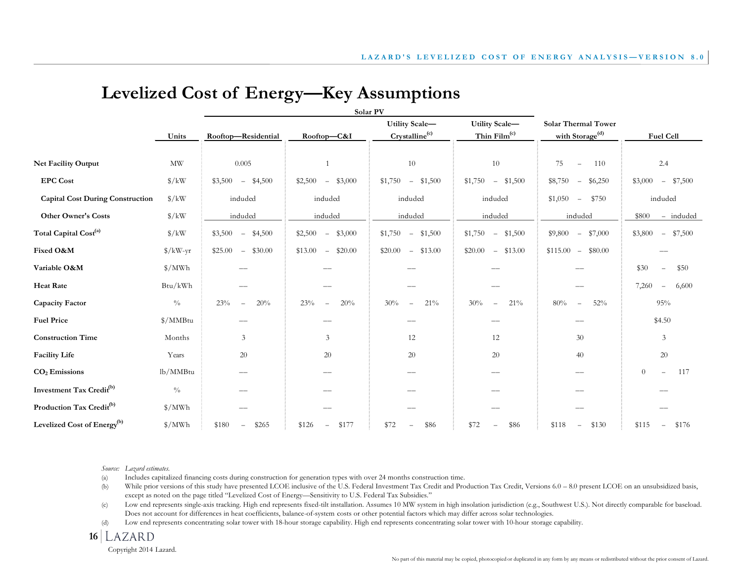## **Levelized Cost of Energy—Key Assumptions**

|                                         |                        |                                                | Solar PV                                       |                                          |                                   |                                           |                                            |
|-----------------------------------------|------------------------|------------------------------------------------|------------------------------------------------|------------------------------------------|-----------------------------------|-------------------------------------------|--------------------------------------------|
|                                         |                        |                                                |                                                | Utility Scale-                           | Utility Scale-                    | <b>Solar Thermal Tower</b>                |                                            |
|                                         | Units                  | Rooftop-Residential                            | Rooftop-C&I                                    | Crystalline <sup>(c)</sup>               | $T$ hin $Film^{(c)}$              | with Storage <sup>(d)</sup>               | <b>Fuel Cell</b>                           |
|                                         |                        |                                                |                                                |                                          |                                   |                                           |                                            |
| <b>Net Facility Output</b>              | MW                     | 0.005                                          | $\mathbf{1}$                                   | 10                                       | 10                                | 75<br>110<br>$\bar{ }$                    | 2.4                                        |
| <b>EPC</b> Cost                         | $\frac{\gamma}{k}$     | \$4,500<br>\$3,500<br>$\equiv$                 | \$2,500<br>\$3,000<br>$\equiv$                 | \$1,500<br>\$1,750<br>$\sim$             | \$1,500<br>\$1,750<br>$\sim$      | \$8,750<br>\$6,250<br>$\equiv$            | \$7,500<br>\$3,000<br>$\rightarrow$        |
| <b>Capital Cost During Construction</b> | $\frac{\gamma}{kW}$    | induded                                        | induded                                        | induded                                  | induded                           | \$750<br>\$1,050<br>$\equiv$              | induded                                    |
| <b>Other Owner's Costs</b>              | $\frac{\gamma}{kW}$    | induded                                        | induded                                        | induded                                  | induded                           | induded                                   | \$800<br>- induded                         |
| Total Capital Cost <sup>(a)</sup>       | $\frac{\gamma}{kW}$    | \$4,500<br>\$3,500<br>$\equiv$                 | \$3,000<br>\$2,500<br>$\overline{\phantom{m}}$ | \$1,500<br>\$1,750<br>$\sim$             | \$1,500<br>\$1,750<br>$\sim$      | \$7,000<br>\$9,800<br>$\equiv$            | \$7,500<br>\$3,800<br>$\equiv$             |
| Fixed O&M                               | $\frac{\gamma}{kW-yr}$ | \$25.00<br>\$30.00<br>$\overline{\phantom{a}}$ | \$20.00<br>\$13.00<br>$\equiv$                 | \$20.00<br>\$13.00<br>$\equiv$           | \$13.00<br>\$20.00<br>$\sim$      | $-$ \$80.00<br>\$115.00                   |                                            |
| Variable O&M                            | $\frac{\gamma}{MWh}$   |                                                |                                                |                                          |                                   |                                           | \$50<br>\$30<br>$\qquad \qquad -$          |
| <b>Heat Rate</b>                        | Btu/kWh                |                                                |                                                |                                          |                                   |                                           | 7,260<br>6,600<br>$\overline{\phantom{m}}$ |
| <b>Capacity Factor</b>                  | $\frac{0}{0}$          | 20%<br>23%<br>$\qquad \qquad =$                | 23%<br>20%                                     | 21%<br>30%                               | 21%<br>30%                        | $52\%$<br>80%<br>$\overline{\phantom{m}}$ | 95%                                        |
| <b>Fuel Price</b>                       | \$/MMBtu               |                                                |                                                |                                          |                                   |                                           | \$4.50                                     |
| <b>Construction Time</b>                | Months                 | 3                                              | 3                                              | 12                                       | 12                                | 30                                        | 3                                          |
| <b>Facility Life</b>                    | Years                  | 20                                             | 20                                             | 20                                       | 20                                | 40                                        | 20                                         |
| $CO2$ Emissions                         | lb/MMBtu               | --                                             |                                                |                                          |                                   |                                           | 117<br>$\theta$<br>÷                       |
| Investment Tax Credit <sup>(b)</sup>    | $\frac{0}{0}$          |                                                |                                                |                                          |                                   |                                           |                                            |
| Production Tax Credit <sup>(b)</sup>    | $N$ Wh                 | --                                             | --                                             |                                          |                                   |                                           |                                            |
| Levelized Cost of Energy <sup>(b)</sup> | $N$ Wh                 | \$265<br>\$180<br>$\qquad \qquad =$            | \$177<br>\$126<br>$\equiv$                     | \$72<br>\$86<br>$\overline{\phantom{0}}$ | \$72<br>\$86<br>$\qquad \qquad -$ | \$118<br>\$130<br>$\equiv$                | \$176<br>\$115<br>$\overline{\phantom{a}}$ |

*Source: Lazard estimates.*

(a) Includes capitalized financing costs during construction for generation types with over 24 months construction time.

(b) While prior versions of this study have presented LCOE inclusive of the U.S. Federal Investment Tax Credit and Production Tax Credit, Versions 6.0 – 8.0 present LCOE on an unsubsidized basis, except as noted on the page titled "Levelized Cost of Energy—Sensitivity to U.S. Federal Tax Subsidies."

(c) Low end represents single-axis tracking. High end represents fixed-tilt installation. Assumes 10 MW system in high insolation jurisdiction (e.g., Southwest U.S.). Not directly comparable for baseload. Does not account for differences in heat coefficients, balance-of-system costs or other potential factors which may differ across solar technologies.

(d) Low end represents concentrating solar tower with 18-hour storage capability. High end represents concentrating solar tower with 10-hour storage capability.

**16**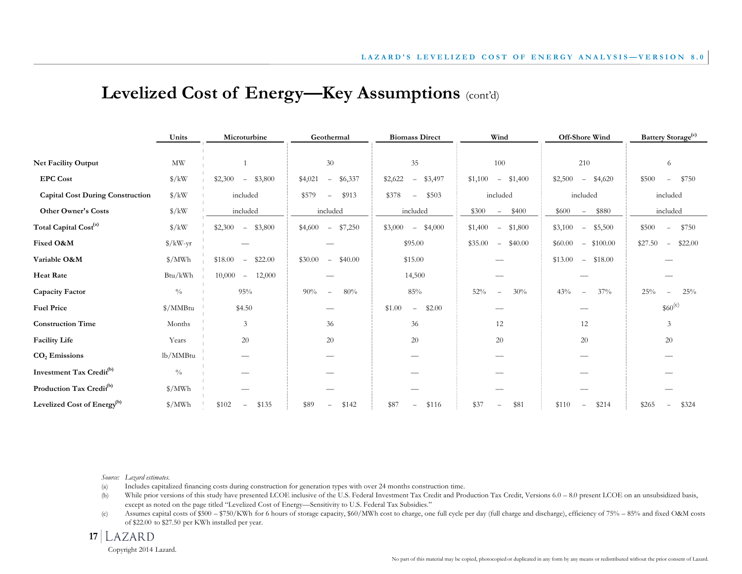# **Levelized Cost of Energy—Key Assumptions** (cont'd)

|                                         | Units                  | Microturbine                                        | Geothermal                                     | <b>Biomass Direct</b>                          | Wind                                           | Off-Shore Wind                                  | Battery Storage <sup>(c)</sup>                 |
|-----------------------------------------|------------------------|-----------------------------------------------------|------------------------------------------------|------------------------------------------------|------------------------------------------------|-------------------------------------------------|------------------------------------------------|
|                                         |                        |                                                     |                                                |                                                |                                                |                                                 |                                                |
| Net Facility Output                     | MW                     |                                                     | 30                                             | 35                                             | 100                                            | 210                                             | 6                                              |
| <b>EPC Cost</b>                         | $\frac{1}{2}$          | \$3,800<br>\$2,300<br>$\overline{\phantom{m}}$      | \$4,021<br>\$6,337<br>$\overline{\phantom{m}}$ | \$2,622<br>\$3,497<br>$\overline{\phantom{m}}$ | \$1,400<br>\$1,100<br>$\equiv$                 | \$4,620<br>\$2,500<br>$\overline{\phantom{m}}$  | \$500<br>\$750<br>$\overline{\phantom{a}}$     |
| <b>Capital Cost During Construction</b> | $\frac{\gamma}{k}$     | included                                            | \$579<br>\$913<br>$\overline{\phantom{m}}$     | \$378<br>\$503<br>$\overline{\phantom{a}}$     | included                                       | included                                        | included                                       |
| <b>Other Owner's Costs</b>              | $\frac{\gamma}{k}$     | included                                            | included                                       | included                                       | \$400<br>\$300<br>$\overline{\phantom{a}}$     | \$880<br>\$600<br>$\overline{\phantom{a}}$      | included                                       |
| Total Capital Cost <sup>(a)</sup>       | $\frac{1}{2}$ /kW      | \$3,800<br>\$2,300<br>$\overline{\phantom{a}}$      | \$7,250<br>\$4,600<br>$\overline{\phantom{m}}$ | \$4,000<br>\$3,000<br>$\overline{\phantom{m}}$ | \$1,800<br>\$1,400<br>$\overline{\phantom{m}}$ | \$3,100<br>\$5,500<br>$\overline{\phantom{a}}$  | \$500<br>\$750<br>$\overline{\phantom{a}}$     |
| Fixed O&M                               | $\frac{\gamma}{kW-yr}$ |                                                     |                                                | \$95.00                                        | \$35.00<br>\$40.00<br>$\overline{\phantom{a}}$ | \$60.00<br>\$100.00<br>$\overline{\phantom{a}}$ | \$27.50<br>\$22.00<br>$\overline{\phantom{m}}$ |
| Variable O&M                            | $\frac{\gamma}{MWh}$   | \$22.00<br>\$18.00<br>$\overline{\phantom{m}}$      | \$30.00<br>\$40.00<br>$\overline{\phantom{a}}$ | \$15.00                                        |                                                | \$18.00<br>\$13.00<br>$\overline{\phantom{m}}$  |                                                |
| <b>Heat Rate</b>                        | Btu/kWh                | 10,000<br>12,000<br>$\hspace{0.1mm}-\hspace{0.1mm}$ |                                                | 14,500                                         |                                                |                                                 |                                                |
| Capacity Factor                         | $\frac{0}{0}$          | 95%                                                 | 90%<br>80%<br>$\overline{\phantom{m}}$         | $85\%$                                         | 52%<br>30%                                     | 43%<br>37%<br>$\sim$                            | $25\%$<br>25%<br>$\overline{\phantom{a}}$      |
| <b>Fuel Price</b>                       | \$/MMBtu               | \$4.50                                              |                                                | \$2.00<br>\$1.00<br>$\overline{\phantom{m}}$   |                                                |                                                 | $$60^{(c)}$$                                   |
| <b>Construction Time</b>                | Months                 | 3                                                   | 36                                             | 36                                             | 12                                             | 12                                              | 3                                              |
| <b>Facility Life</b>                    | Years                  | 20                                                  | 20                                             | 20                                             | 20                                             | 20                                              | 20                                             |
| $CO2$ Emissions                         | lb/MMBtu               |                                                     |                                                |                                                |                                                |                                                 |                                                |
| Investment Tax Credit <sup>(b)</sup>    | $\frac{0}{0}$          |                                                     |                                                |                                                |                                                |                                                 |                                                |
| Production Tax Credit <sup>(b)</sup>    | $\frac{\gamma}{MWh}$   |                                                     |                                                |                                                |                                                |                                                 |                                                |
| Levelized Cost of Energy <sup>(b)</sup> | $\frac{\gamma}{MWh}$   | \$102<br>\$135<br>$\overline{\phantom{m}}$          | \$89<br>\$142<br>÷                             | \$87<br>\$116                                  | \$81<br>\$37                                   | \$214<br>\$110                                  | \$265<br>\$324<br>$\overline{\phantom{0}}$     |

*Source: Lazard estimates.*

(a) Includes capitalized financing costs during construction for generation types with over 24 months construction time.

(b) While prior versions of this study have presented LCOE inclusive of the U.S. Federal Investment Tax Credit and Production Tax Credit, Versions 6.0 – 8.0 present LCOE on an unsubsidized basis, except as noted on the page titled "Levelized Cost of Energy—Sensitivity to U.S. Federal Tax Subsidies."

(c) Assumes capital costs of \$500 – \$750/KWh for 6 hours of storage capacity, \$60/MWh cost to charge, one full cycle per day (full charge and discharge), efficiency of 75% – 85% and fixed O&M costs of \$22.00 to \$27.50 per KWh installed per year.

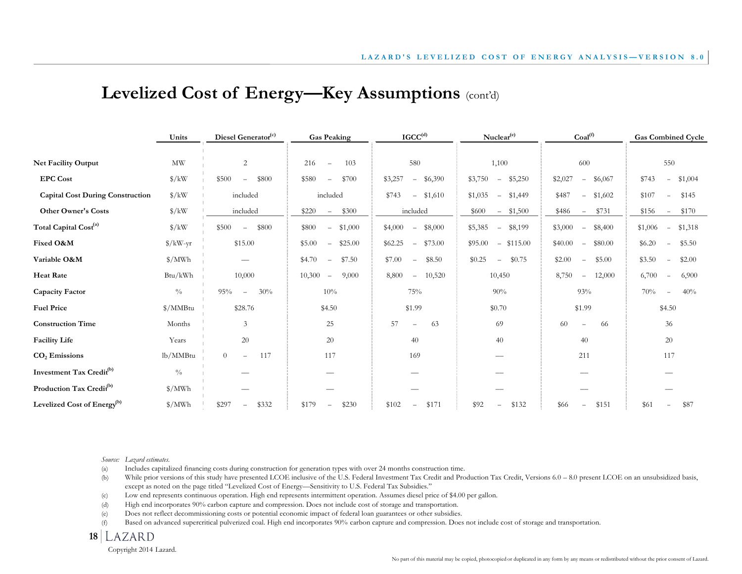## **Levelized Cost of Energy—Key Assumptions** (cont'd)

|                                         | Units                           | Diesel Generator <sup>(c)</sup>             | <b>Gas Peaking</b>                            | $\mathbf{IGCC}^{(\text{d})}$                   | Nuclear <sup>(e)</sup>                         | Coal <sup>(f)</sup>                            | <b>Gas Combined Cycle</b>                      |
|-----------------------------------------|---------------------------------|---------------------------------------------|-----------------------------------------------|------------------------------------------------|------------------------------------------------|------------------------------------------------|------------------------------------------------|
|                                         |                                 |                                             |                                               |                                                |                                                |                                                |                                                |
| Net Facility Output                     | $\ensuremath{\text{MW}}\xspace$ | $\overline{2}$                              | 216<br>103<br>$\overline{\phantom{m}}$        | 580                                            | 1,100                                          | 600                                            | 550                                            |
| <b>EPC Cost</b>                         | $\frac{\gamma}{k}$              | \$500<br>\$800<br>$\overline{\phantom{m}}$  | \$580<br>\$700<br>$\overline{\phantom{m}}$    | \$3,257<br>\$6,390<br>$\overline{\phantom{a}}$ | \$3,750<br>\$5,250<br>$\overline{\phantom{m}}$ | \$2,027<br>\$6,067<br>$\overline{\phantom{m}}$ | \$743<br>\$1,004<br>$\overline{\phantom{a}}$   |
| <b>Capital Cost During Construction</b> | $\frac{\gamma}{k}$              | included                                    | included                                      | \$743<br>$-$ \$1,610                           | \$1,035<br>\$1,449<br>$\overline{\phantom{m}}$ | \$487<br>\$1,602<br>$\overline{\phantom{a}}$   | \$107<br>\$145<br>$\overline{\phantom{a}}$     |
| <b>Other Owner's Costs</b>              | $\frac{\gamma}{k}$              | included                                    | \$300<br>\$220<br>$\overline{\phantom{a}}$    | included                                       | \$600<br>\$1,500<br>$\overline{\phantom{m}}$   | \$486<br>\$731<br>$\overline{\phantom{a}}$     | \$156<br>\$170<br>$\overline{\phantom{m}}$     |
| Total Capital Cost <sup>(a)</sup>       | $\frac{1}{2}$ /kW               | \$800<br>\$500<br>$\overline{\phantom{m}}$  | \$800<br>\$1,000<br>$\equiv$                  | \$8,000<br>\$4,000<br>$\overline{\phantom{m}}$ | \$5,385<br>\$8,199<br>$\overline{\phantom{a}}$ | \$3,000<br>\$8,400<br>$\overline{\phantom{a}}$ | \$1,006<br>\$1,318<br>$\overline{\phantom{a}}$ |
| Fixed O&M                               | $\frac{\gamma}{kW-yr}$          | \$15.00                                     | \$5.00<br>\$25.00<br>$\overline{\phantom{m}}$ | \$62.25<br>\$73.00<br>$\overline{\phantom{a}}$ | \$115.00<br>\$95.00<br>$\equiv$                | \$40.00<br>\$80.00<br>$\overline{\phantom{a}}$ | \$6.20<br>\$5.50<br>$\overline{\phantom{a}}$   |
| Variable O&M                            | $\frac{\gamma}{2}$ MWh          | $\hspace{0.05cm}$                           | \$4.70<br>\$7.50<br>$\overline{\phantom{m}}$  | \$7.00<br>\$8.50<br>$\overline{\phantom{a}}$   | \$0.25<br>\$0.75<br>$\overline{\phantom{m}}$   | \$2.00<br>\$5.00<br>$\equiv$                   | \$3.50<br>\$2.00<br>$\overline{\phantom{a}}$   |
| <b>Heat Rate</b>                        | Btu/kWh                         | 10,000                                      | 10,300<br>9,000<br>$\overline{\phantom{m}}$   | 8,800<br>10,520<br>$\overline{\phantom{m}}$    | 10,450                                         | 8,750<br>12,000<br>$\overline{\phantom{a}}$    | 6,700<br>6,900<br>$\overline{\phantom{a}}$     |
| Capacity Factor                         | $\frac{0}{0}$                   | 95%<br>30%<br>$\overline{\phantom{m}}$      | 10%                                           | 75%                                            | 90%                                            | 93%                                            | 70%<br>40%<br>$\overline{\phantom{m}}$         |
| <b>Fuel Price</b>                       | \$/MMBtu                        | \$28.76                                     | \$4.50                                        | \$1.99                                         | \$0.70                                         | \$1.99                                         | \$4.50                                         |
| <b>Construction Time</b>                | Months                          | 3                                           | 25                                            | 57<br>63<br>$\overline{\phantom{a}}$           | 69                                             | -66<br>60<br>$\overline{\phantom{m}}$          | 36                                             |
| <b>Facility Life</b>                    | Years                           | 20                                          | 20                                            | 40                                             | 40                                             | 40                                             | 20                                             |
| $CO2$ Emissions                         | lb/MMBtu                        | 117<br>$\theta$<br>$\overline{\phantom{m}}$ | 117                                           | 169                                            |                                                | 211                                            | 117                                            |
| Investment Tax Credit <sup>(b)</sup>    | $\frac{0}{0}$                   |                                             |                                               |                                                |                                                |                                                |                                                |
| Production Tax Credit <sup>(b)</sup>    | $N$ MWh                         |                                             |                                               |                                                |                                                |                                                |                                                |
| Levelized Cost of Energy <sup>(b)</sup> | $\frac{\gamma}{MWh}$            | \$332<br>\$297<br>$\overline{\phantom{m}}$  | \$179<br>\$230<br>$\overline{\phantom{m}}$    | \$102<br>\$171<br>$\overline{\phantom{m}}$     | \$92<br>\$132<br>$\overline{\phantom{0}}$      | \$151<br>\$66<br>$\overline{\phantom{m}}$      | \$87<br>\$61<br>$\overline{\phantom{0}}$       |

*Source: Lazard estimates.*

(a) Includes capitalized financing costs during construction for generation types with over 24 months construction time.

(b) While prior versions of this study have presented LCOE inclusive of the U.S. Federal Investment Tax Credit and Production Tax Credit, Versions 6.0 – 8.0 present LCOE on an unsubsidized basis, except as noted on the page titled "Levelized Cost of Energy—Sensitivity to U.S. Federal Tax Subsidies."

(c) Low end represents continuous operation. High end represents intermittent operation. Assumes diesel price of \$4.00 per gallon.

(d) High end incorporates 90% carbon capture and compression. Does not include cost of storage and transportation.

(e) Does not reflect decommissioning costs or potential economic impact of federal loan guarantees or other subsidies.

(f) Based on advanced supercritical pulverized coal. High end incorporates 90% carbon capture and compression. Does not include cost of storage and transportation.